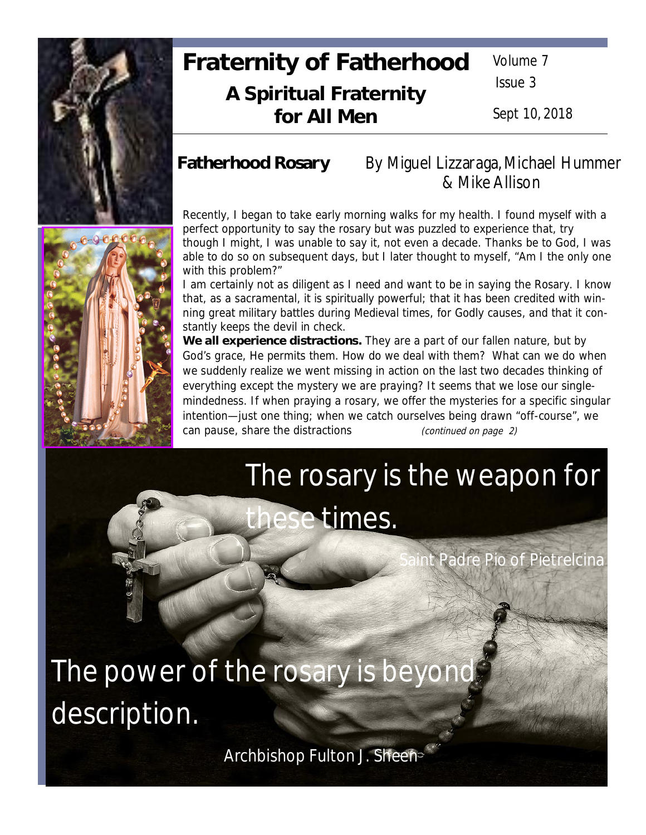

## **Fraternity of Fatherhood A Spiritual Fraternity for All Men**

Volume 7

Issue 3

Sept 10, 2018

## **Fatherhood Rosary** By Miguel Lizzaraga, Michael Hummer & Mike Allison

Recently, I began to take early morning walks for my health. I found myself with a perfect opportunity to say the rosary but was puzzled to experience that, try though I might, I was unable to say it, not even a decade. Thanks be to God, I was able to do so on subsequent days, but I later thought to myself, "Am I the only one with this problem?"

I am certainly not as diligent as I need and want to be in saying the Rosary. I know that, as a sacramental, it is spiritually powerful; that it has been credited with winning great military battles during Medieval times, for Godly causes, and that it constantly keeps the devil in check.

**We all experience distractions.** They are a part of our fallen nature, but by God's grace, He permits them. How do we deal with them? What can we do when we suddenly realize we went missing in action on the last two decades thinking of everything except the mystery we are praying? It seems that we lose our singlemindedness. If when praying a rosary, we offer the mysteries for a specific singular intention—just one thing; when we catch ourselves being drawn "off-course", we can pause, share the distractions *<i>continued on page 2)* 

# The rosary is the weapon for these times.

Padre Pio of Pietrelcina

The power of the rosary is beyond description.

Archbishop Fulton J. Sheen

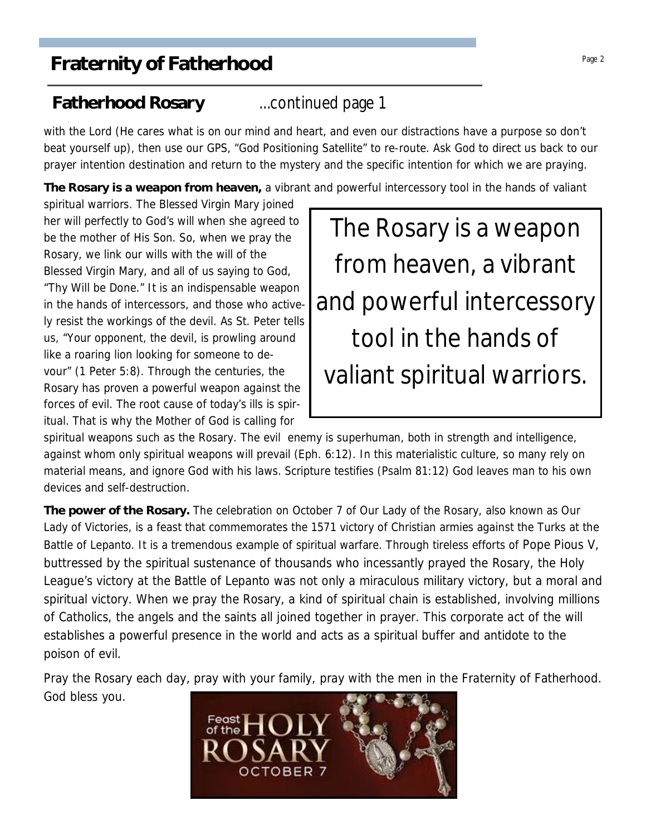## **Fatherhood Rosary** ...continued page 1

with the Lord (He cares what is on our mind and heart, and even our distractions have a purpose so don't beat yourself up), then use our GPS, "God Positioning Satellite" to re-route. Ask God to direct us back to our prayer intention destination and return to the mystery and the specific intention for which we are praying.

**The Rosary is a weapon from heaven,** a vibrant and powerful intercessory tool in the hands of valiant

spiritual warriors. The Blessed Virgin Mary joined her will perfectly to God's will when she agreed to be the mother of His Son. So, when we pray the Rosary, we link our wills with the will of the Blessed Virgin Mary, and all of us saying to God, "Thy Will be Done." It is an indispensable weapon in the hands of intercessors, and those who actively resist the workings of the devil. As St. Peter tells us, "Your opponent, the devil, is prowling around like a roaring lion looking for someone to devour" (1 Peter 5:8). Through the centuries, the Rosary has proven a powerful weapon against the forces of evil. The root cause of today's ills is spiritual. That is why the Mother of God is calling for



spiritual weapons such as the Rosary. The evil enemy is superhuman, both in strength and intelligence, against whom only spiritual weapons will prevail (Eph. 6:12). In this materialistic culture, so many rely on material means, and ignore God with his laws. Scripture testifies (Psalm 81:12) God leaves man to his own devices and self-destruction.

**The power of the Rosary.** The celebration on October 7 of Our Lady of the Rosary, also known as Our Lady of Victories, is a feast that commemorates the 1571 victory of Christian armies against the Turks at the Battle of Lepanto. It is a tremendous example of spiritual warfare. Through tireless efforts of Pope Pious V, buttressed by the spiritual sustenance of thousands who incessantly prayed the Rosary, the Holy League's victory at the Battle of Lepanto was not only a miraculous military victory, but a moral and spiritual victory. When we pray the Rosary, a kind of spiritual chain is established, involving millions of Catholics, the angels and the saints all joined together in prayer. This corporate act of the will establishes a powerful presence in the world and acts as a spiritual buffer and antidote to the poison of evil.

Pray the Rosary each day, pray with your family, pray with the men in the Fraternity of Fatherhood. God bless you.

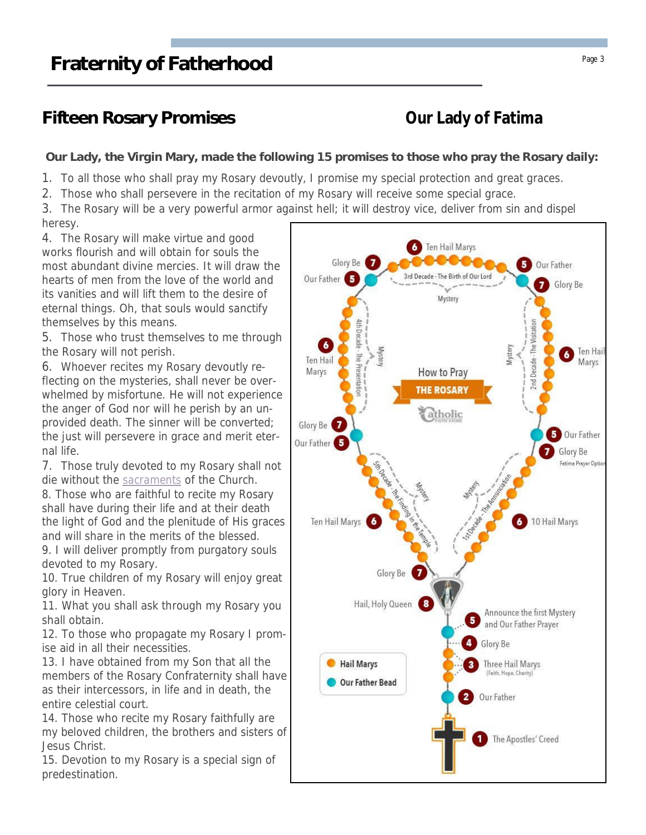## **Fifteen Rosary Promises Our Lady of Fatima**

**Our Lady, the Virgin Mary, made the following 15 promises to those who pray the Rosary daily:**

1. To all those who shall pray my Rosary devoutly, I promise my special protection and great graces.

2. Those who shall persevere in the recitation of my Rosary will receive some special grace.

3. The Rosary will be a very powerful armor against hell; it will destroy vice, deliver from sin and dispel heresy.

4. The Rosary will make virtue and good works flourish and will obtain for souls the most abundant divine mercies. It will draw the hearts of men from the love of the world and its vanities and will lift them to the desire of eternal things. Oh, that souls would sanctify themselves by this means.

5. Those who trust themselves to me through the Rosary will not perish.

6. Whoever recites my Rosary devoutly reflecting on the mysteries, shall never be overwhelmed by misfortune. He will not experience the anger of God nor will he perish by an unprovided death. The sinner will be converted; the just will persevere in grace and merit eternal life.

7. Those truly devoted to my Rosary shall not die without the sacraments of the Church.

8. Those who are faithful to recite my Rosary shall have during their life and at their death the light of God and the plenitude of His graces and will share in the merits of the blessed.

9. I will deliver promptly from purgatory souls devoted to my Rosary.

10. True children of my Rosary will enjoy great glory in Heaven.

11. What you shall ask through my Rosary you shall obtain.

12. To those who propagate my Rosary I promise aid in all their necessities.

13. I have obtained from my Son that all the members of the Rosary Confraternity shall have as their intercessors, in life and in death, the entire celestial court.

14. Those who recite my Rosary faithfully are my beloved children, the brothers and sisters of Jesus Christ.

15. Devotion to my Rosary is a special sign of predestination.

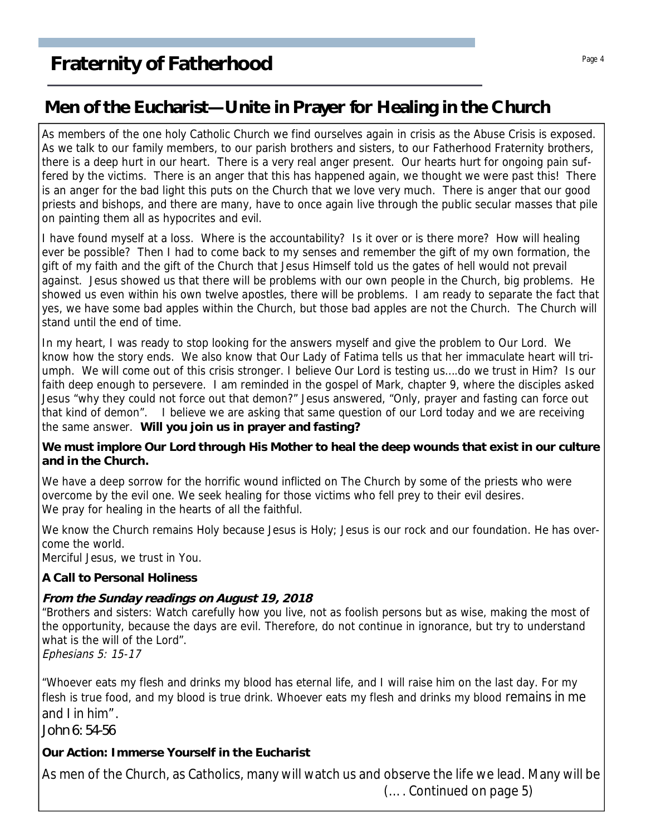## **Men of the Eucharist—Unite in Prayer for Healing in the Church**

As members of the one holy Catholic Church we find ourselves again in crisis as the Abuse Crisis is exposed. As we talk to our family members, to our parish brothers and sisters, to our Fatherhood Fraternity brothers, there is a deep hurt in our heart. There is a very real anger present. Our hearts hurt for ongoing pain suffered by the victims. There is an anger that this has happened again, we thought we were past this! There is an anger for the bad light this puts on the Church that we love very much. There is anger that our good priests and bishops, and there are many, have to once again live through the public secular masses that pile on painting them all as hypocrites and evil.

I have found myself at a loss. Where is the accountability? Is it over or is there more? How will healing ever be possible? Then I had to come back to my senses and remember the gift of my own formation, the gift of my faith and the gift of the Church that Jesus Himself told us the gates of hell would not prevail against. Jesus showed us that there will be problems with our own people in the Church, big problems. He showed us even within his own twelve apostles, there will be problems. I am ready to separate the fact that yes, we have some bad apples within the Church, but those bad apples are not the Church. The Church will stand until the end of time.

In my heart, I was ready to stop looking for the answers myself and give the problem to Our Lord. We know how the story ends. We also know that Our Lady of Fatima tells us that her immaculate heart will triumph. We will come out of this crisis stronger. I believe Our Lord is testing us….do we trust in Him? Is our faith deep enough to persevere. I am reminded in the gospel of Mark, chapter 9, where the disciples asked Jesus "why they could not force out that demon?" Jesus answered, "Only, prayer and fasting can force out that kind of demon". I believe we are asking that same question of our Lord today and we are receiving the same answer. **Will you join us in prayer and fasting?**

**We must implore Our Lord through His Mother to heal the deep wounds that exist in our culture and in the Church.**

We have a deep sorrow for the horrific wound inflicted on The Church by some of the priests who were overcome by the evil one. We seek healing for those victims who fell prey to their evil desires. We pray for healing in the hearts of all the faithful.

We know the Church remains Holy because Jesus is Holy; Jesus is our rock and our foundation. He has overcome the world.

Merciful Jesus, we trust in You.

**A Call to Personal Holiness**

### **From the Sunday readings on August 19, 2018**

"Brothers and sisters: Watch carefully how you live, not as foolish persons but as wise, making the most of the opportunity, because the days are evil. Therefore, do not continue in ignorance, but try to understand what is the will of the Lord".

Ephesians 5: 15-17

"Whoever eats my flesh and drinks my blood has eternal life, and I will raise him on the last day. For my flesh is true food, and my blood is true drink. Whoever eats my flesh and drinks my blood remains in me and I in him".

*John 6: 54-56*

**Our Action: Immerse Yourself in the Eucharist**

As men of the Church, as Catholics, many will watch us and observe the life we lead. Many will be (…. Continued on page 5)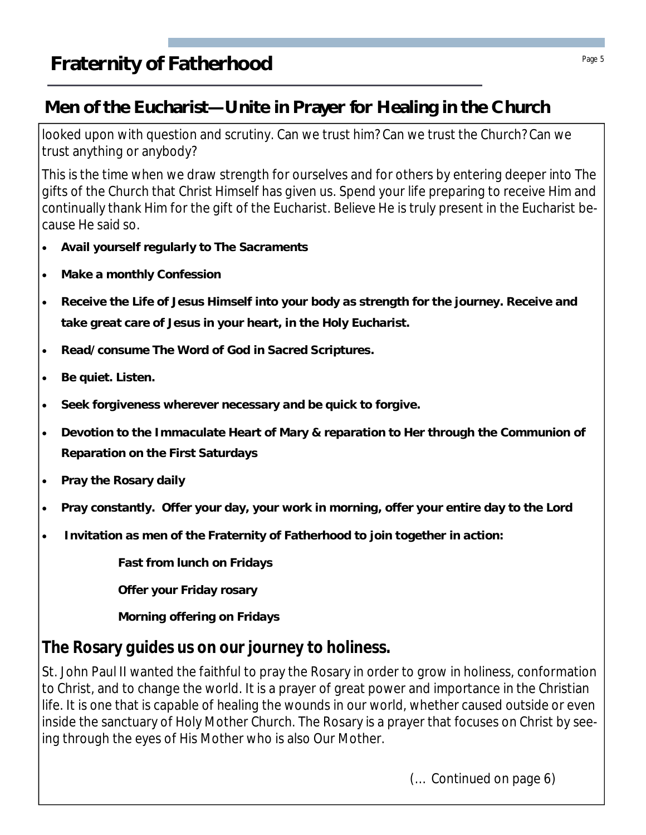## **Men of the Eucharist—Unite in Prayer for Healing in the Church**

looked upon with question and scrutiny. Can we trust him? Can we trust the Church? Can we trust anything or anybody?

This is the time when we draw strength for ourselves and for others by entering deeper into The gifts of the Church that Christ Himself has given us. Spend your life preparing to receive Him and continually thank Him for the gift of the Eucharist. Believe He is truly present in the Eucharist because He said so.

- · **Avail yourself regularly to The Sacraments**
- · **Make a monthly Confession**
- Receive the Life of Jesus Himself into your body as strength for the journey. Receive and **take great care of Jesus in your heart, in the Holy Eucharist.**
- · **Read/consume The Word of God in Sacred Scriptures.**
- · **Be quiet. Listen.**
- · **Seek forgiveness wherever necessary and be quick to forgive.**
- · **Devotion to the Immaculate Heart of Mary & reparation to Her through the Communion of Reparation on the First Saturdays**
- Pray the Rosary daily
- · **Pray constantly. Offer your day, your work in morning, offer your entire day to the Lord**
- · **Invitation as men of the Fraternity of Fatherhood to join together in action:**

**Fast from lunch on Fridays**

**Offer your Friday rosary**

**Morning offering on Fridays**

## **The Rosary guides us on our journey to holiness.**

St. John Paul II wanted the faithful to pray the Rosary in order to grow in holiness, conformation to Christ, and to change the world. It is a prayer of great power and importance in the Christian life. It is one that is capable of healing the wounds in our world, whether caused outside or even inside the sanctuary of Holy Mother Church. The Rosary is a prayer that focuses on Christ by seeing through the eyes of His Mother who is also Our Mother.

(… Continued on page 6)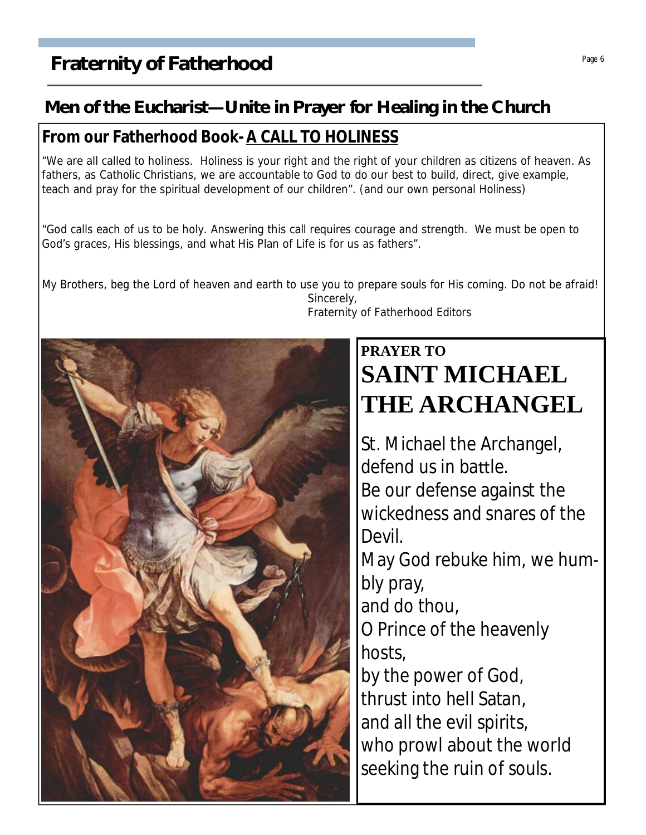## **Fraternity of Fatherhood** Page 6 **Figure 1** Page 6

## **Men of the Eucharist—Unite in Prayer for Healing in the Church**

### **From our Fatherhood Book- A CALL TO HOLINESS**

"We are all called to holiness. Holiness is your right and the right of your children as citizens of heaven. As fathers, as Catholic Christians, we are accountable to God to do our best to build, direct, give example, teach and pray for the spiritual development of our children". (and our own personal Holiness)

"God calls each of us to be holy. Answering this call requires courage and strength. We must be open to God's graces, His blessings, and what His Plan of Life is for us as fathers".

My Brothers, beg the Lord of heaven and earth to use you to prepare souls for His coming. Do not be afraid! Sincerely, Fraternity of Fatherhood Editors



## **PRAYER TO SAINT MICHAEL THE ARCHANGEL**

St. Michael the Archangel, defend us in battle. Be our defense against the wickedness and snares of the Devil. May God rebuke him, we humbly pray, and do thou, O Prince of the heavenly hosts, by the power of God, thrust into hell Satan, and all the evil spirits, who prowl about the world seeking the ruin of souls.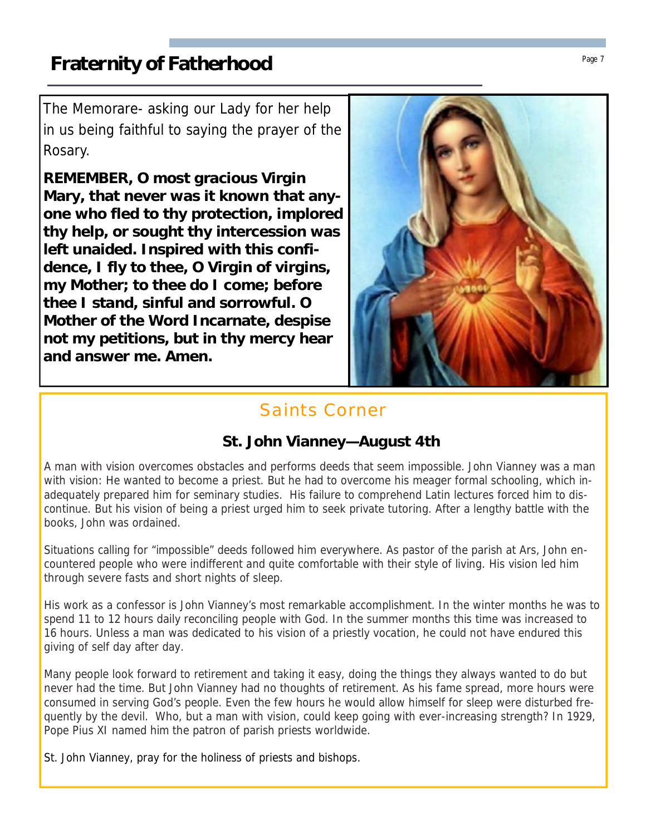The Memorare- asking our Lady for her help in us being faithful to saying the prayer of the Rosary.

**REMEMBER, O most gracious Virgin Mary, that never was it known that anyone who fled to thy protection, implored thy help, or sought thy intercession was left unaided. Inspired with this confidence, I fly to thee, O Virgin of virgins, my Mother; to thee do I come; before thee I stand, sinful and sorrowful. O Mother of the Word Incarnate, despise not my petitions, but in thy mercy hear and answer me. Amen.**



## Saints Corner

## **St. John Vianney—August 4th**

A man with vision overcomes obstacles and performs deeds that seem impossible. John Vianney was a man with vision: He wanted to become a priest. But he had to overcome his meager formal schooling, which inadequately prepared him for seminary studies. His failure to comprehend Latin lectures forced him to discontinue. But his vision of being a priest urged him to seek private tutoring. After a lengthy battle with the books, John was ordained.

Situations calling for "impossible" deeds followed him everywhere. As pastor of the parish at Ars, John encountered people who were indifferent and quite comfortable with their style of living. His vision led him through severe fasts and short nights of sleep.

His work as a confessor is John Vianney's most remarkable accomplishment. In the winter months he was to spend 11 to 12 hours daily reconciling people with God. In the summer months this time was increased to 16 hours. Unless a man was dedicated to his vision of a priestly vocation, he could not have endured this giving of self day after day.

Many people look forward to retirement and taking it easy, doing the things they always wanted to do but never had the time. But John Vianney had no thoughts of retirement. As his fame spread, more hours were consumed in serving God's people. Even the few hours he would allow himself for sleep were disturbed frequently by the devil. Who, but a man with vision, could keep going with ever-increasing strength? In 1929, Pope Pius XI named him the patron of parish priests worldwide.

St. John Vianney, pray for the holiness of priests and bishops.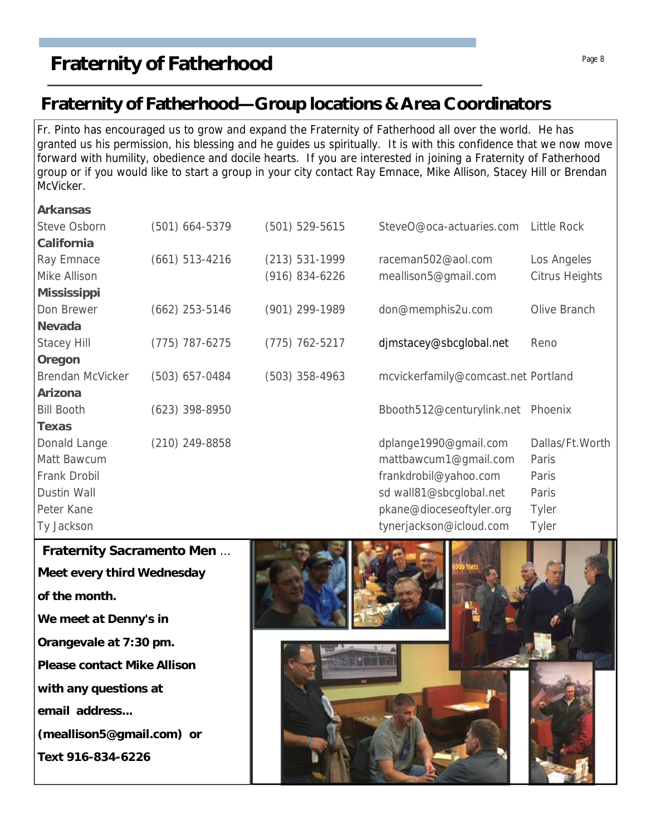## **Fraternity of Fatherhood—Group locations & Area Coordinators**

Fr. Pinto has encouraged us to grow and expand the Fraternity of Fatherhood all over the world. He has granted us his permission, his blessing and he guides us spiritually. It is with this confidence that we now move forward with humility, obedience and docile hearts. If you are interested in joining a Fraternity of Fatherhood group or if you would like to start a group in your city contact Ray Emnace, Mike Allison, Stacey Hill or Brendan McVicker.

| Arkansas           |                  |                    |                                     |                    |
|--------------------|------------------|--------------------|-------------------------------------|--------------------|
| Steve Osborn       | $(501)$ 664-5379 | $(501) 529 - 5615$ | SteveO@oca-actuaries.com            | <b>Little Rock</b> |
| California         |                  |                    |                                     |                    |
| Ray Emnace         | $(661)$ 513-4216 | $(213) 531-1999$   | raceman502@aol.com                  | Los Angeles        |
| Mike Allison       |                  | $(916) 834 - 6226$ | meallison5@gmail.com                | Citrus Heights     |
| Mississippi        |                  |                    |                                     |                    |
| Don Brewer         | $(662)$ 253-5146 | (901) 299-1989     | don@memphis2u.com                   | Olive Branch       |
| Nevada             |                  |                    |                                     |                    |
| <b>Stacey Hill</b> | $(775)$ 787-6275 | $(775)$ 762-5217   | djmstacey@sbcglobal.net             | Reno               |
| Oregon             |                  |                    |                                     |                    |
| Brendan McVicker   | $(503)$ 657-0484 | $(503)$ 358-4963   | mcvickerfamily@comcast.net Portland |                    |
| Arizona            |                  |                    |                                     |                    |
| <b>Bill Booth</b>  | $(623)$ 398-8950 |                    | Bbooth512@centurylink.net           | Phoenix            |
| Texas              |                  |                    |                                     |                    |
| Donald Lange       | $(210)$ 249-8858 |                    | dplange1990@gmail.com               | Dallas/Ft.Worth    |
| Matt Bawcum        |                  |                    | mattbawcum1@gmail.com               | Paris              |
| Frank Drobil       |                  |                    | frankdrobil@yahoo.com               | Paris              |
| Dustin Wall        |                  |                    | sd wall81@sbcglobal.net             | Paris              |
| Peter Kane         |                  |                    | pkane@dioceseoftyler.org            | Tyler              |
| Ty Jackson         |                  |                    | tynerjackson@icloud.com             | Tyler              |
|                    |                  |                    |                                     |                    |

**Fraternity Sacramento Men** … **Meet every third Wednesday of the month. We meet at Denny's in Orangevale at 7:30 pm. Please contact Mike Allison with any questions at email address... (meallison5@gmail.com) or Text 916-834-6226**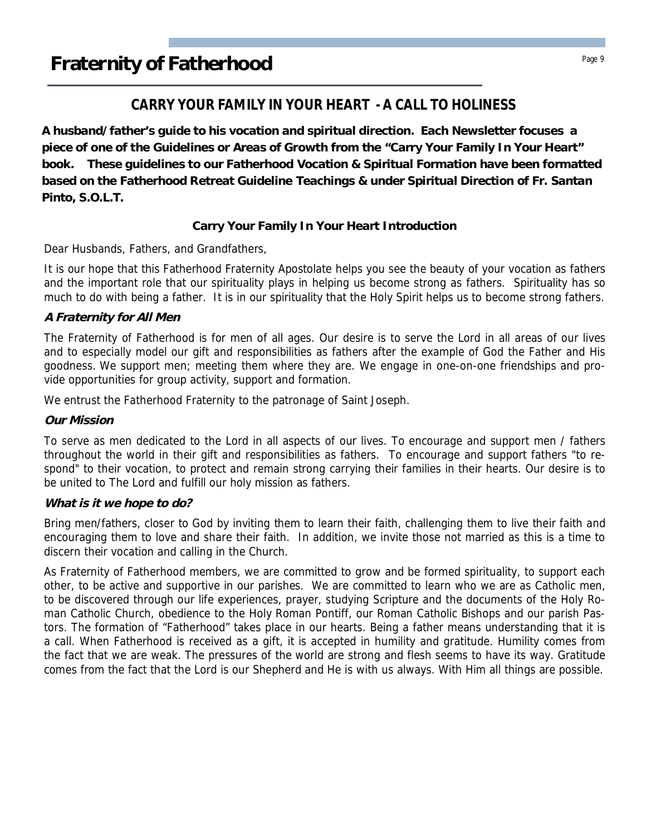### **CARRY YOUR FAMILY IN YOUR HEART - A CALL TO HOLINESS**

**A husband/father's guide to his vocation and spiritual direction. Each Newsletter focuses a piece of one of the Guidelines or Areas of Growth from the "Carry Your Family In Your Heart" book. These guidelines to our Fatherhood Vocation & Spiritual Formation have been formatted based on the Fatherhood Retreat Guideline Teachings & under Spiritual Direction of Fr. Santan Pinto, S.O.L.T.**

### **Carry Your Family In Your Heart Introduction**

Dear Husbands, Fathers, and Grandfathers,

It is our hope that this Fatherhood Fraternity Apostolate helps you see the beauty of your vocation as fathers and the important role that our spirituality plays in helping us become strong as fathers. Spirituality has so much to do with being a father. It is in our spirituality that the Holy Spirit helps us to become strong fathers.

### **A Fraternity for All Men**

The Fraternity of Fatherhood is for men of all ages. Our desire is to serve the Lord in all areas of our lives and to especially model our gift and responsibilities as fathers after the example of God the Father and His goodness. We support men; meeting them where they are. We engage in one-on-one friendships and provide opportunities for group activity, support and formation.

We entrust the Fatherhood Fraternity to the patronage of Saint Joseph.

### **Our Mission**

To serve as men dedicated to the Lord in all aspects of our lives. To encourage and support men / fathers throughout the world in their gift and responsibilities as fathers. To encourage and support fathers "to respond" to their vocation, to protect and remain strong carrying their families in their hearts. Our desire is to be united to The Lord and fulfill our holy mission as fathers.

### **What is it we hope to do?**

Bring men/fathers, closer to God by inviting them to learn their faith, challenging them to live their faith and encouraging them to love and share their faith. In addition, we invite those not married as this is a time to discern their vocation and calling in the Church.

As Fraternity of Fatherhood members, we are committed to grow and be formed spirituality, to support each other, to be active and supportive in our parishes. We are committed to learn who we are as Catholic men, to be discovered through our life experiences, prayer, studying Scripture and the documents of the Holy Roman Catholic Church, obedience to the Holy Roman Pontiff, our Roman Catholic Bishops and our parish Pastors. The formation of "Fatherhood" takes place in our hearts. Being a father means understanding that it is a call. When Fatherhood is received as a gift, it is accepted in humility and gratitude. Humility comes from the fact that we are weak. The pressures of the world are strong and flesh seems to have its way. Gratitude comes from the fact that the Lord is our Shepherd and He is with us always. With Him all things are possible.